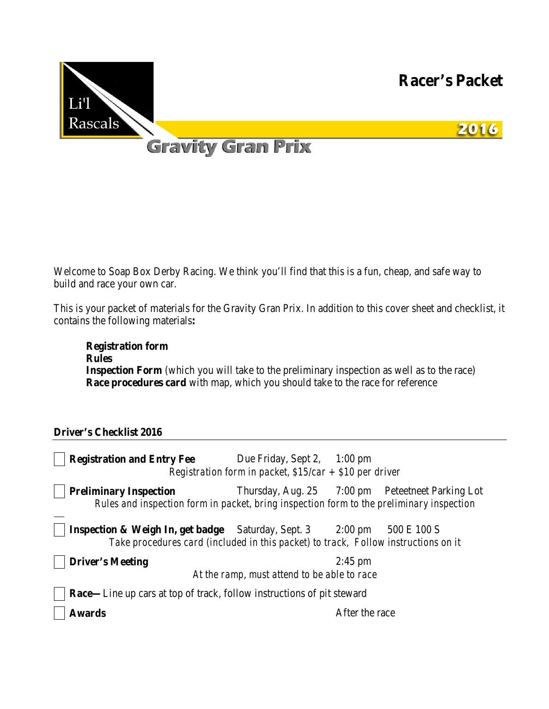

Welcome to Soap Box Derby Racing. We think you'll find that this is a fun, cheap, and safe way to build and race your own car.

This is your packet of materials for the Gravity Gran Prix. In addition to this cover sheet and checklist, it contains the following materials**:** 

**Registration form Rules Inspection Form** (which you will take to the preliminary inspection as well as to the race) **Race procedures card** with map, which you should take to the race for reference

#### **Driver's Checklist 2016**

| <b>Registration and Entry Fee</b>                                                                                                                           | Due Friday, Sept 2, $1:00 \text{ pm}$<br>Registration form in packet, $$15/car + $10$ per driver |                |                                                  |
|-------------------------------------------------------------------------------------------------------------------------------------------------------------|--------------------------------------------------------------------------------------------------|----------------|--------------------------------------------------|
| <b>Preliminary Inspection</b><br>Rules and inspection form in packet, bring inspection form to the preliminary inspection                                   |                                                                                                  |                | Thursday, Aug. 25 7:00 pm Petertneet Parking Lot |
| <b>Inspection &amp; Weigh In, get badge</b> Saturday, Sept. 3 2:00 pm<br>Take procedures card (included in this packet) to track, Follow instructions on it |                                                                                                  |                | 500 E 100 S                                      |
| <b>Driver's Meeting</b>                                                                                                                                     |                                                                                                  | $2:45$ pm      |                                                  |
|                                                                                                                                                             | At the ramp, must attend to be able to race                                                      |                |                                                  |
| <b>Race—Line up cars at top of track, follow instructions of pit steward</b>                                                                                |                                                                                                  |                |                                                  |
| <b>Awards</b>                                                                                                                                               |                                                                                                  | After the race |                                                  |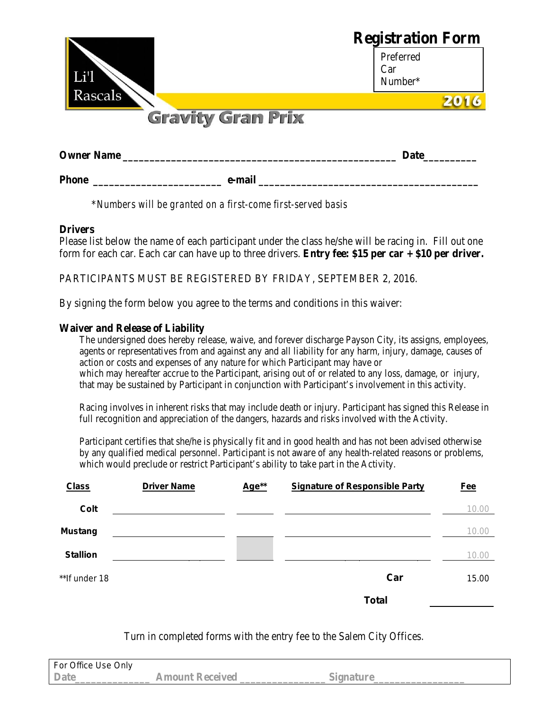|                          | <b>Registration Form</b> |  |
|--------------------------|--------------------------|--|
|                          | Preferred<br>Car         |  |
| Li'l<br>Rascals          | Number*                  |  |
|                          |                          |  |
| <b>Gravity Gran Prix</b> |                          |  |
| <b>Owner Name</b>        | <b>Date</b>              |  |

\**Numbers will be granted on a first-come first-served basis*

# **Drivers**

Please list below the name of each participant under the class he/she will be racing in. Fill out one form for each car. Each car can have up to three drivers. **Entry fee: \$15 per car + \$10 per driver.**

**Phone \_\_\_\_\_\_\_\_\_\_\_\_\_\_\_\_\_\_\_\_\_\_\_\_ e-mail \_\_\_\_\_\_\_\_\_\_\_\_\_\_\_\_\_\_\_\_\_\_\_\_\_\_\_\_\_\_\_\_\_\_\_\_\_\_\_\_\_**

PARTICIPANTS MUST BE REGISTERED BY FRIDAY, SEPTEMBER 2, 2016.

By signing the form below you agree to the terms and conditions in this waiver:

# **Waiver and Release of Liability**

The undersigned does hereby release, waive, and forever discharge Payson City, its assigns, employees, agents or representatives from and against any and all liability for any harm, injury, damage, causes of action or costs and expenses of any nature for which Participant may have or which may hereafter accrue to the Participant, arising out of or related to any loss, damage, or injury, that may be sustained by Participant in conjunction with Participant's involvement in this activity.

Racing involves in inherent risks that may include death or injury. Participant has signed this Release in full recognition and appreciation of the dangers, hazards and risks involved with the Activity.

Participant certifies that she/he is physically fit and in good health and has not been advised otherwise by any qualified medical personnel. Participant is not aware of any health-related reasons or problems, which would preclude or restrict Participant's ability to take part in the Activity.

| <b>Class</b>    | <b>Driver Name</b> | Age** | <b>Signature of Responsible Party</b> | <b>Fee</b> |
|-----------------|--------------------|-------|---------------------------------------|------------|
| Colt            |                    |       |                                       | 10.00      |
| <b>Mustang</b>  |                    |       |                                       | 10.00      |
| <b>Stallion</b> |                    |       |                                       | 10.00      |
| ** If under 18  |                    |       | Car                                   | 15.00      |
|                 |                    |       | <b>Total</b>                          |            |

Turn in completed forms with the entry fee to the Salem City Offices.

| For Office Use Only |                    |  |
|---------------------|--------------------|--|
| <b>Date</b>         | Keceived<br>Amount |  |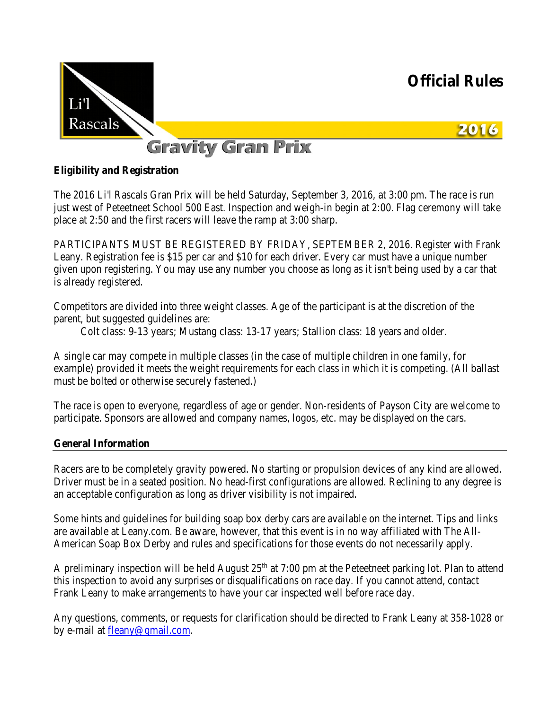

# **Eligibility and Registration**

The 2016 Li'l Rascals Gran Prix will be held Saturday, September 3, 2016, at 3:00 pm. The race is run just west of Peteetneet School 500 East. Inspection and weigh-in begin at 2:00. Flag ceremony will take place at 2:50 and the first racers will leave the ramp at 3:00 sharp.

PARTICIPANTS MUST BE REGISTERED BY FRIDAY, SEPTEMBER 2, 2016. Register with Frank Leany. Registration fee is \$15 per car and \$10 for each driver. Every car must have a unique number given upon registering. You may use any number you choose as long as it isn't being used by a car that is already registered.

Competitors are divided into three weight classes. Age of the participant is at the discretion of the parent, but suggested guidelines are:

Colt class: 9-13 years; Mustang class: 13-17 years; Stallion class: 18 years and older.

A single car may compete in multiple classes (in the case of multiple children in one family, for example) provided it meets the weight requirements for each class in which it is competing. (All ballast must be bolted or otherwise securely fastened.)

The race is open to everyone, regardless of age or gender. Non-residents of Payson City are welcome to participate. Sponsors are allowed and company names, logos, etc. may be displayed on the cars.

#### **General Information**

Racers are to be completely gravity powered. No starting or propulsion devices of any kind are allowed. Driver must be in a seated position. No head-first configurations are allowed. Reclining to any degree is an acceptable configuration as long as driver visibility is not impaired.

Some hints and guidelines for building soap box derby cars are available on the internet. Tips and links are available at Leany.com. Be aware, however, that this event is in no way affiliated with The All-American Soap Box Derby and rules and specifications for those events do not necessarily apply.

A preliminary inspection will be held August  $25<sup>th</sup>$  at 7:00 pm at the Peteetneet parking lot. Plan to attend this inspection to avoid any surprises or disqualifications on race day. If you cannot attend, contact Frank Leany to make arrangements to have your car inspected well before race day.

Any questions, comments, or requests for clarification should be directed to Frank Leany at 358-1028 or by e-mail at [fleany@gmail.com.](mailto:fleany@gmail.com)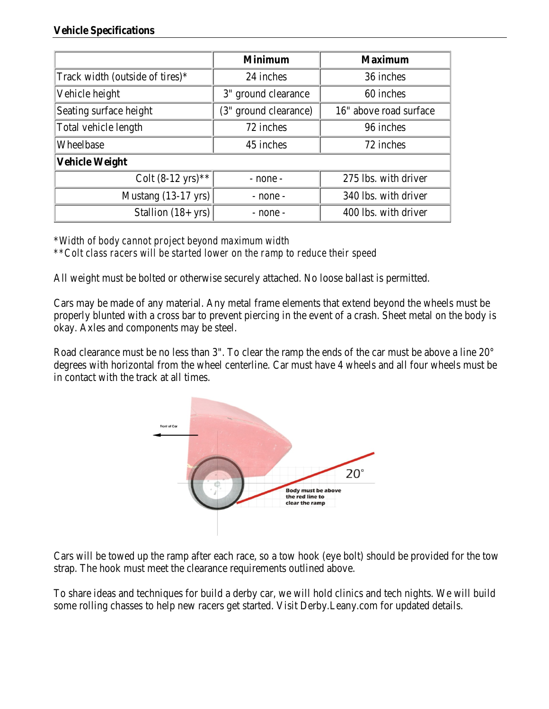#### **Vehicle Specifications**

|                                 | <b>Minimum</b>        | <b>Maximum</b>         |  |
|---------------------------------|-----------------------|------------------------|--|
| Track width (outside of tires)* | 24 inches             | 36 inches              |  |
| Vehicle height                  | 3" ground clearance   | 60 inches              |  |
| Seating surface height          | (3" ground clearance) | 16" above road surface |  |
| Total vehicle length            | 72 inches             | 96 inches              |  |
| Wheelbase                       | 45 inches             | 72 inches              |  |
| Vehicle Weight                  |                       |                        |  |
| Colt $(8-12 \text{ yrs})$ **    | - none -              | 275 lbs. with driver   |  |
| Mustang $(13-17 \text{ yrs})$   | $-$ none $-$          | 340 lbs. with driver   |  |
| Stallion $(18 + yrs)$           | - none -              | 400 lbs. with driver   |  |

\**Width of body cannot project beyond maximum width \*\*Colt class racers will be started lower on the ramp to reduce their speed*

All weight must be bolted or otherwise securely attached. No loose ballast is permitted.

Cars may be made of any material. Any metal frame elements that extend beyond the wheels must be properly blunted with a cross bar to prevent piercing in the event of a crash. Sheet metal on the body is okay. Axles and components may be steel.

Road clearance must be no less than 3". To clear the ramp the ends of the car must be above a line 20° degrees with horizontal from the wheel centerline. Car must have 4 wheels and all four wheels must be in contact with the track at all times.



Cars will be towed up the ramp after each race, so a tow hook (eye bolt) should be provided for the tow strap. The hook must meet the clearance requirements outlined above.

To share ideas and techniques for build a derby car, we will hold clinics and tech nights. We will build some rolling chasses to help new racers get started. Visit Derby.Leany.com for updated details.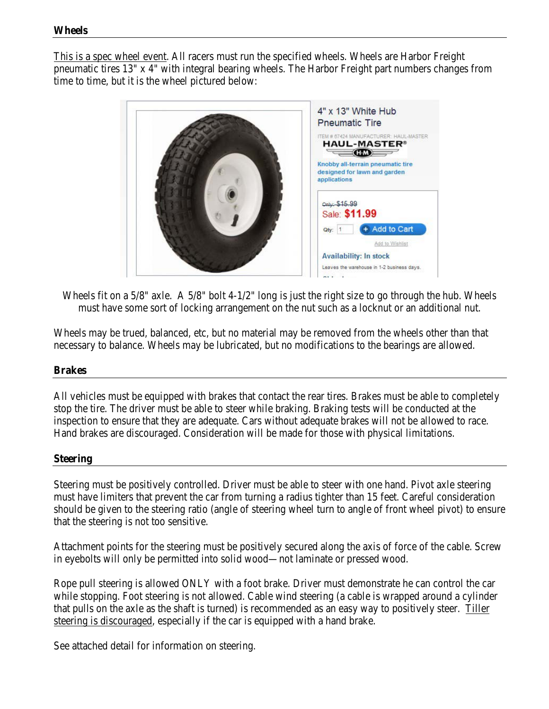This is a spec wheel event. All racers must run the specified wheels. Wheels are Harbor Freight pneumatic tires 13" x 4" with integral bearing wheels. The Harbor Freight part numbers changes from time to time, but it is the wheel pictured below:



Wheels fit on a 5/8" axle. A 5/8" bolt 4-1/2" long is just the right size to go through the hub. Wheels must have some sort of locking arrangement on the nut such as a locknut or an additional nut.

Wheels may be trued, balanced, etc, but no material may be removed from the wheels other than that necessary to balance. Wheels may be lubricated, but no modifications to the bearings are allowed.

#### **Brakes**

All vehicles must be equipped with brakes that contact the rear tires. Brakes must be able to completely stop the tire. The driver must be able to steer while braking. Braking tests will be conducted at the inspection to ensure that they are adequate. Cars without adequate brakes will not be allowed to race. Hand brakes are discouraged. Consideration will be made for those with physical limitations.

#### **Steering**

Steering must be positively controlled. Driver must be able to steer with one hand. Pivot axle steering must have limiters that prevent the car from turning a radius tighter than 15 feet. Careful consideration should be given to the steering ratio (angle of steering wheel turn to angle of front wheel pivot) to ensure that the steering is not too sensitive.

Attachment points for the steering must be positively secured along the axis of force of the cable. Screw in eyebolts will only be permitted into solid wood—not laminate or pressed wood.

Rope pull steering is allowed ONLY with a foot brake. Driver must demonstrate he can control the car while stopping. Foot steering is not allowed. Cable wind steering (a cable is wrapped around a cylinder that pulls on the axle as the shaft is turned) is recommended as an easy way to positively steer. Tiller steering is discouraged, especially if the car is equipped with a hand brake.

See attached detail for information on steering.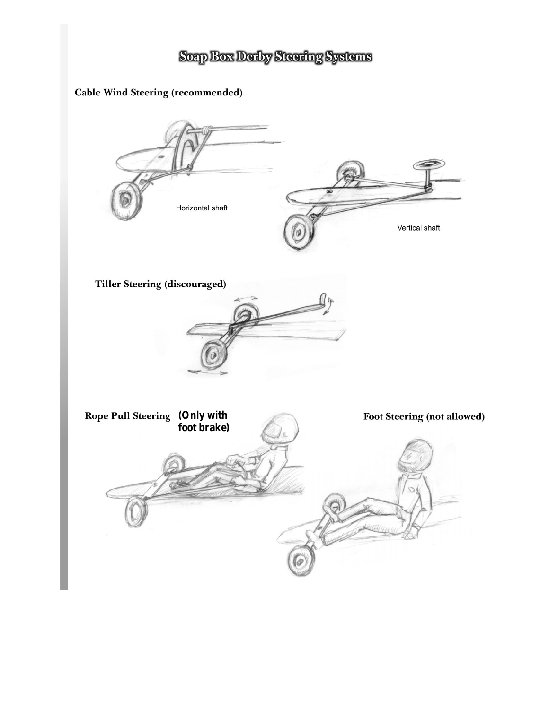# Soap Box Derby Steering Systems

# **Cable Wind Steering (recommended)**

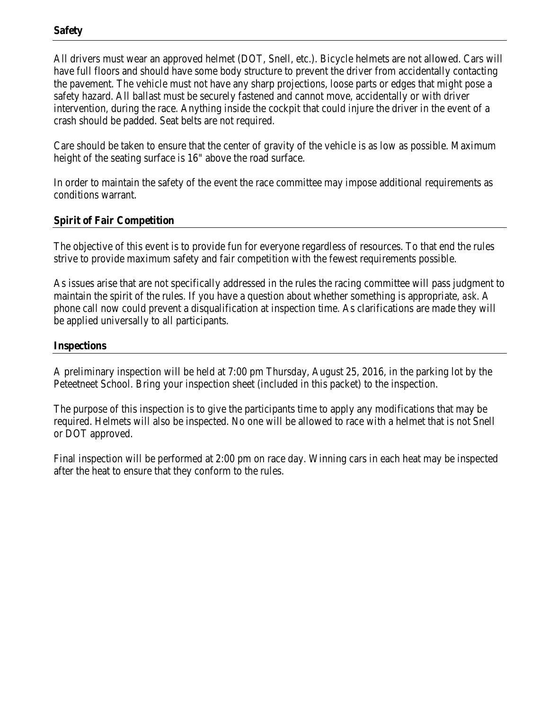All drivers must wear an approved helmet (DOT, Snell, etc.). Bicycle helmets are not allowed. Cars will have full floors and should have some body structure to prevent the driver from accidentally contacting the pavement. The vehicle must not have any sharp projections, loose parts or edges that might pose a safety hazard. All ballast must be securely fastened and cannot move, accidentally or with driver intervention, during the race. Anything inside the cockpit that could injure the driver in the event of a crash should be padded. Seat belts are not required.

Care should be taken to ensure that the center of gravity of the vehicle is as low as possible. Maximum height of the seating surface is 16" above the road surface.

In order to maintain the safety of the event the race committee may impose additional requirements as conditions warrant.

# **Spirit of Fair Competition**

The objective of this event is to provide fun for everyone regardless of resources. To that end the rules strive to provide maximum safety and fair competition with the fewest requirements possible.

As issues arise that are not specifically addressed in the rules the racing committee will pass judgment to maintain the spirit of the rules. If you have a question about whether something is appropriate, *ask*. A phone call now could prevent a disqualification at inspection time. As clarifications are made they will be applied universally to all participants.

# **Inspections**

A preliminary inspection will be held at 7:00 pm Thursday, August 25, 2016, in the parking lot by the Peteetneet School. Bring your inspection sheet (included in this packet) to the inspection.

The purpose of this inspection is to give the participants time to apply any modifications that may be required. Helmets will also be inspected. No one will be allowed to race with a helmet that is not Snell or DOT approved.

Final inspection will be performed at 2:00 pm on race day. Winning cars in each heat may be inspected after the heat to ensure that they conform to the rules.